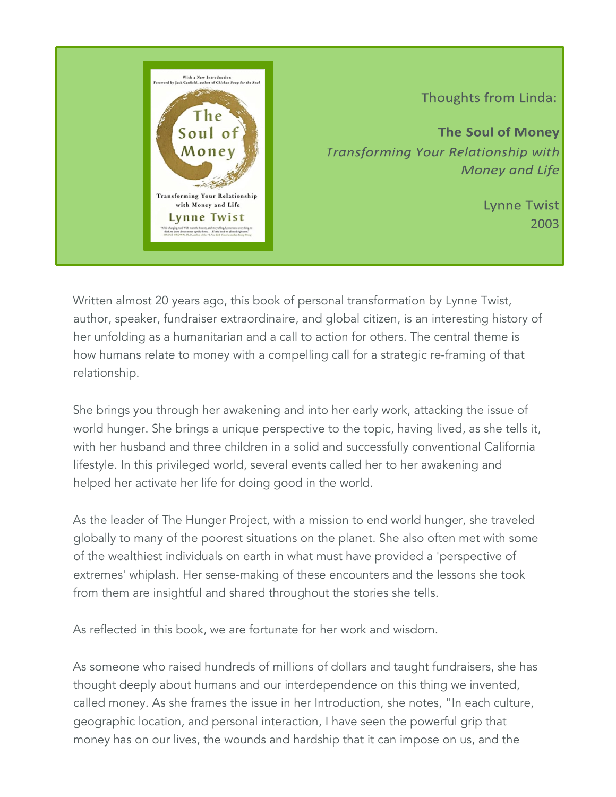

Thoughts from Linda:

**The Soul of Money** Transforming Your Relationship with **Money and Life** 

> **Lynne Twist** 2003

Written almost 20 years ago, this book of personal transformation by Lynne Twist, author, speaker, fundraiser extraordinaire, and global citizen, is an interesting history of her unfolding as a humanitarian and a call to action for others. The central theme is how humans relate to money with a compelling call for a strategic re-framing of that relationship.

She brings you through her awakening and into her early work, attacking the issue of world hunger. She brings a unique perspective to the topic, having lived, as she tells it, with her husband and three children in a solid and successfully conventional California lifestyle. In this privileged world, several events called her to her awakening and helped her activate her life for doing good in the world.

As the leader of The Hunger Project, with a mission to end world hunger, she traveled globally to many of the poorest situations on the planet. She also often met with some of the wealthiest individuals on earth in what must have provided a 'perspective of extremes' whiplash. Her sense-making of these encounters and the lessons she took from them are insightful and shared throughout the stories she tells.

As reflected in this book, we are fortunate for her work and wisdom.

As someone who raised hundreds of millions of dollars and taught fundraisers, she has thought deeply about humans and our interdependence on this thing we invented, called money. As she frames the issue in her Introduction, she notes, "In each culture, geographic location, and personal interaction, I have seen the powerful grip that money has on our lives, the wounds and hardship that it can impose on us, and the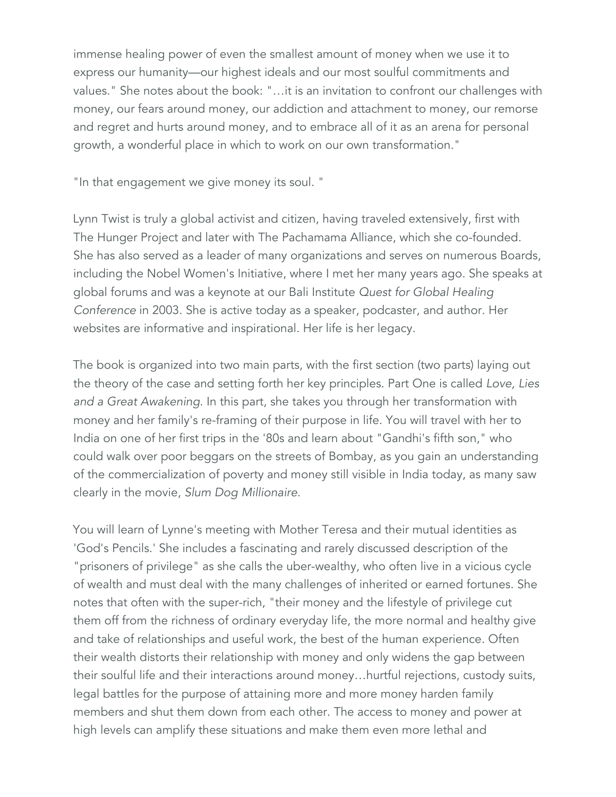immense healing power of even the smallest amount of money when we use it to express our humanity—our highest ideals and our most soulful commitments and values." She notes about the book: "…it is an invitation to confront our challenges with money, our fears around money, our addiction and attachment to money, our remorse and regret and hurts around money, and to embrace all of it as an arena for personal growth, a wonderful place in which to work on our own transformation."

"In that engagement we give money its soul. "

Lynn Twist is truly a global activist and citizen, having traveled extensively, first with The Hunger Project and later with The Pachamama Alliance, which she co-founded. She has also served as a leader of many organizations and serves on numerous Boards, including the Nobel Women's Initiative, where I met her many years ago. She speaks at global forums and was a keynote at our Bali Institute *Quest for Global Healing Conference* in 2003. She is active today as a speaker, podcaster, and author. Her websites are informative and inspirational. Her life is her legacy.

The book is organized into two main parts, with the first section (two parts) laying out the theory of the case and setting forth her key principles. Part One is called *Love, Lies and a Great Awakening*. In this part, she takes you through her transformation with money and her family's re-framing of their purpose in life. You will travel with her to India on one of her first trips in the '80s and learn about "Gandhi's fifth son," who could walk over poor beggars on the streets of Bombay, as you gain an understanding of the commercialization of poverty and money still visible in India today, as many saw clearly in the movie, *Slum Dog Millionaire*.

You will learn of Lynne's meeting with Mother Teresa and their mutual identities as 'God's Pencils.' She includes a fascinating and rarely discussed description of the "prisoners of privilege" as she calls the uber-wealthy, who often live in a vicious cycle of wealth and must deal with the many challenges of inherited or earned fortunes. She notes that often with the super-rich, "their money and the lifestyle of privilege cut them off from the richness of ordinary everyday life, the more normal and healthy give and take of relationships and useful work, the best of the human experience. Often their wealth distorts their relationship with money and only widens the gap between their soulful life and their interactions around money…hurtful rejections, custody suits, legal battles for the purpose of attaining more and more money harden family members and shut them down from each other. The access to money and power at high levels can amplify these situations and make them even more lethal and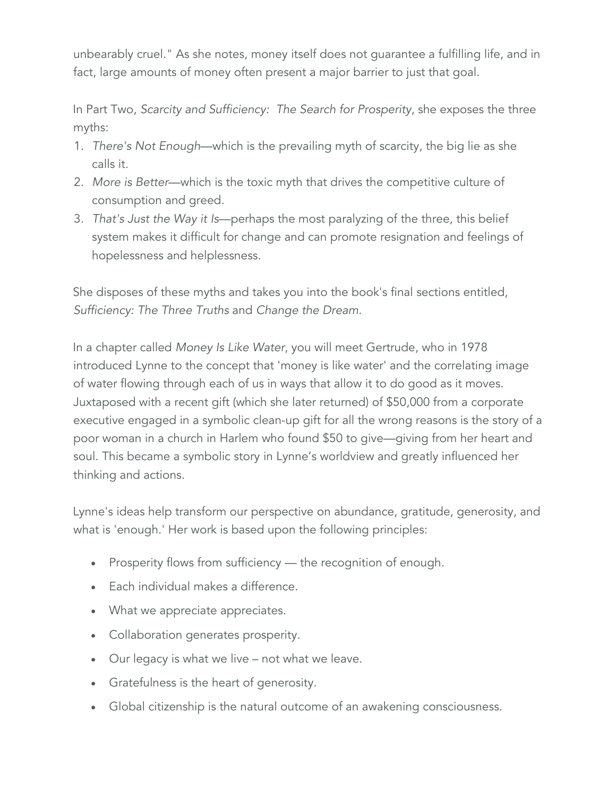unbearably cruel." As she notes, money itself does not guarantee a fulfilling life, and in fact, large amounts of money often present a major barrier to just that goal.

In Part Two, *Scarcity and Sufficiency: The Search for Prosperity*, she exposes the three myths:

- 1. *There's Not Enough*—which is the prevailing myth of scarcity, the big lie as she calls it.
- 2. *More is Better*—which is the toxic myth that drives the competitive culture of consumption and greed.
- 3. *That's Just the Way it Is*—perhaps the most paralyzing of the three, this belief system makes it difficult for change and can promote resignation and feelings of hopelessness and helplessness.

She disposes of these myths and takes you into the book's final sections entitled, *Sufficiency: The Three Truths* and *Change the Dream*.

In a chapter called *Money Is Like Water*, you will meet Gertrude, who in 1978 introduced Lynne to the concept that 'money is like water' and the correlating image of water flowing through each of us in ways that allow it to do good as it moves. Juxtaposed with a recent gift (which she later returned) of \$50,000 from a corporate executive engaged in a symbolic clean-up gift for all the wrong reasons is the story of a poor woman in a church in Harlem who found \$50 to give—giving from her heart and soul. This became a symbolic story in Lynne's worldview and greatly influenced her thinking and actions.

Lynne's ideas help transform our perspective on abundance, gratitude, generosity, and what is 'enough.' Her work is based upon the following principles:

- Prosperity flows from sufficiency the recognition of enough.
- Each individual makes a difference.
- What we appreciate appreciates.
- Collaboration generates prosperity.
- Our legacy is what we live not what we leave.
- Gratefulness is the heart of generosity.
- Global citizenship is the natural outcome of an awakening consciousness.